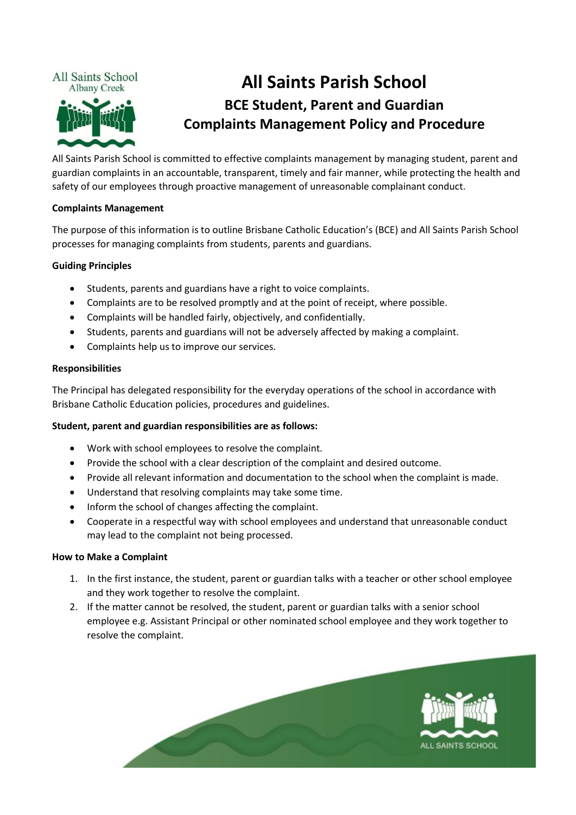

# **All Saints Parish School BCE Student, Parent and Guardian Complaints Management Policy and Procedure**

All Saints Parish School is committed to effective complaints management by managing student, parent and guardian complaints in an accountable, transparent, timely and fair manner, while protecting the health and safety of our employees through proactive management of unreasonable complainant conduct.

# **Complaints Management**

The purpose of this information is to outline Brisbane Catholic Education's (BCE) and All Saints Parish School processes for managing complaints from students, parents and guardians.

# **Guiding Principles**

- Students, parents and guardians have a right to voice complaints.
- Complaints are to be resolved promptly and at the point of receipt, where possible.
- Complaints will be handled fairly, objectively, and confidentially.
- Students, parents and guardians will not be adversely affected by making a complaint.
- Complaints help us to improve our services.

### **Responsibilities**

The Principal has delegated responsibility for the everyday operations of the school in accordance with Brisbane Catholic Education policies, procedures and guidelines.

# **Student, parent and guardian responsibilities are as follows:**

- Work with school employees to resolve the complaint.
- Provide the school with a clear description of the complaint and desired outcome.
- Provide all relevant information and documentation to the school when the complaint is made.
- Understand that resolving complaints may take some time.
- Inform the school of changes affecting the complaint.
- Cooperate in a respectful way with school employees and understand that unreasonable conduct may lead to the complaint not being processed.

#### **How to Make a Complaint**

- 1. In the first instance, the student, parent or guardian talks with a teacher or other school employee and they work together to resolve the complaint.
- 2. If the matter cannot be resolved, the student, parent or guardian talks with a senior school employee e.g. Assistant Principal or other nominated school employee and they work together to resolve the complaint.

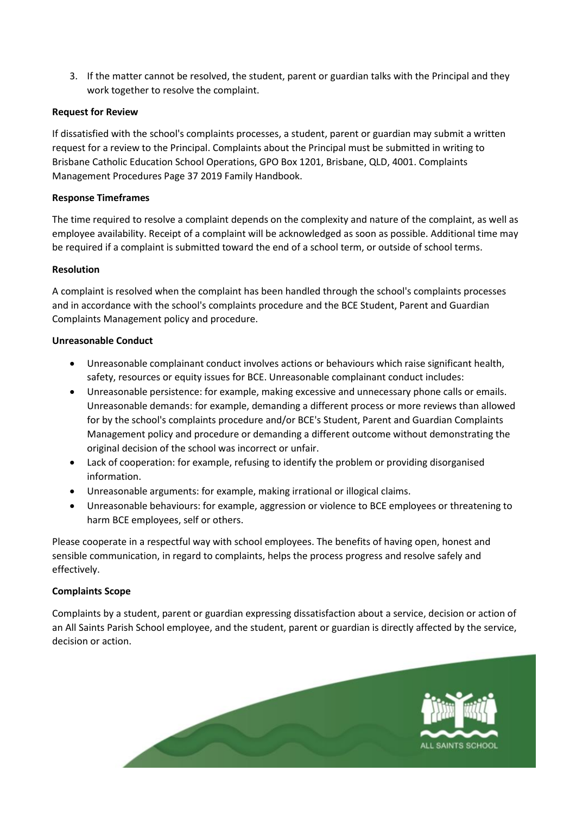3. If the matter cannot be resolved, the student, parent or guardian talks with the Principal and they work together to resolve the complaint.

## **Request for Review**

If dissatisfied with the school's complaints processes, a student, parent or guardian may submit a written request for a review to the Principal. Complaints about the Principal must be submitted in writing to Brisbane Catholic Education School Operations, GPO Box 1201, Brisbane, QLD, 4001. Complaints Management Procedures Page 37 2019 Family Handbook.

### **Response Timeframes**

The time required to resolve a complaint depends on the complexity and nature of the complaint, as well as employee availability. Receipt of a complaint will be acknowledged as soon as possible. Additional time may be required if a complaint is submitted toward the end of a school term, or outside of school terms.

#### **Resolution**

A complaint is resolved when the complaint has been handled through the school's complaints processes and in accordance with the school's complaints procedure and the BCE Student, Parent and Guardian Complaints Management policy and procedure.

### **Unreasonable Conduct**

- Unreasonable complainant conduct involves actions or behaviours which raise significant health, safety, resources or equity issues for BCE. Unreasonable complainant conduct includes:
- Unreasonable persistence: for example, making excessive and unnecessary phone calls or emails. Unreasonable demands: for example, demanding a different process or more reviews than allowed for by the school's complaints procedure and/or BCE's Student, Parent and Guardian Complaints Management policy and procedure or demanding a different outcome without demonstrating the original decision of the school was incorrect or unfair.
- Lack of cooperation: for example, refusing to identify the problem or providing disorganised information.
- Unreasonable arguments: for example, making irrational or illogical claims.
- Unreasonable behaviours: for example, aggression or violence to BCE employees or threatening to harm BCE employees, self or others.

Please cooperate in a respectful way with school employees. The benefits of having open, honest and sensible communication, in regard to complaints, helps the process progress and resolve safely and effectively.

# **Complaints Scope**

Complaints by a student, parent or guardian expressing dissatisfaction about a service, decision or action of an All Saints Parish School employee, and the student, parent or guardian is directly affected by the service, decision or action.